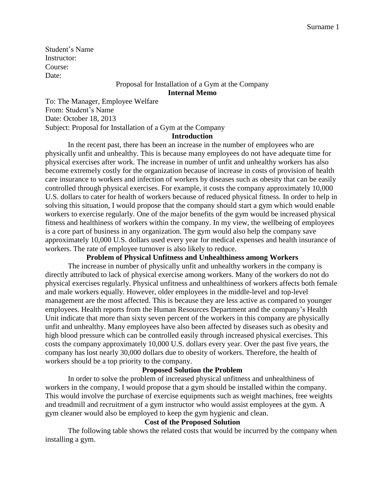Student's Name Instructor: Course: Date:

# Proposal for Installation of a Gym at the Company **Internal Memo**

To: The Manager, Employee Welfare From: Student's Name Date: October 18, 2013 Subject: Proposal for Installation of a Gym at the Company

#### **Introduction**

In the recent past, there has been an increase in the number of employees who are physically unfit and unhealthy. This is because many employees do not have adequate time for physical exercises after work. The increase in number of unfit and unhealthy workers has also become extremely costly for the organization because of increase in costs of provision of health care insurance to workers and infection of workers by diseases such as obesity that can be easily controlled through physical exercises. For example, it costs the company approximately 10,000 U.S. dollars to cater for health of workers because of reduced physical fitness. In order to help in solving this situation, I would propose that the company should start a gym which would enable workers to exercise regularly. One of the major benefits of the gym would be increased physical fitness and healthiness of workers within the company. In my view, the wellbeing of employees is a core part of business in any organization. The gym would also help the company save approximately 10,000 U.S. dollars used every year for medical expenses and health insurance of workers. The rate of employee turnover is also likely to reduce.

#### **Problem of Physical Unfitness and Unhealthiness among Workers**

The increase in number of physically unfit and unhealthy workers in the company is directly attributed to lack of physical exercise among workers. Many of the workers do not do physical exercises regularly. Physical unfitness and unhealthiness of workers affects both female and male workers equally. However, older employees in the middle-level and top-level management are the most affected. This is because they are less active as compared to younger employees. Health reports from the Human Resources Department and the company's Health Unit indicate that more than sixty seven percent of the workers in this company are physically unfit and unhealthy. Many employees have also been affected by diseases such as obesity and high blood pressure which can be controlled easily through increased physical exercises. This costs the company approximately 10,000 U.S. dollars every year. Over the past five years, the company has lost nearly 30,000 dollars due to obesity of workers. Therefore, the health of workers should be a top priority to the company.

## **Proposed Solution the Problem**

In order to solve the problem of increased physical unfitness and unhealthiness of workers in the company, I would propose that a gym should be installed within the company. This would involve the purchase of exercise equipments such as weight machines, free weights and treadmill and recruitment of a gym instructor who would assist employees at the gym. A gym cleaner would also be employed to keep the gym hygienic and clean.

#### **Cost of the Proposed Solution**

The following table shows the related costs that would be incurred by the company when installing a gym.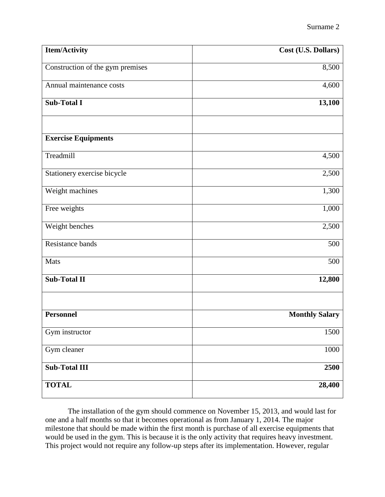| <b>Item/Activity</b>             | Cost (U.S. Dollars)   |
|----------------------------------|-----------------------|
| Construction of the gym premises | 8,500                 |
| Annual maintenance costs         | 4,600                 |
| <b>Sub-Total I</b>               | 13,100                |
| <b>Exercise Equipments</b>       |                       |
| Treadmill                        | 4,500                 |
| Stationery exercise bicycle      | 2,500                 |
| Weight machines                  | 1,300                 |
| Free weights                     | 1,000                 |
| Weight benches                   | 2,500                 |
| Resistance bands                 | 500                   |
| Mats                             | 500                   |
| <b>Sub-Total II</b>              | 12,800                |
| <b>Personnel</b>                 | <b>Monthly Salary</b> |
| Gym instructor                   | 1500                  |
| Gym cleaner                      | 1000                  |
| <b>Sub-Total III</b>             | 2500                  |
| <b>TOTAL</b>                     | 28,400                |

The installation of the gym should commence on November 15, 2013, and would last for one and a half months so that it becomes operational as from January 1, 2014. The major milestone that should be made within the first month is purchase of all exercise equipments that would be used in the gym. This is because it is the only activity that requires heavy investment. This project would not require any follow-up steps after its implementation. However, regular